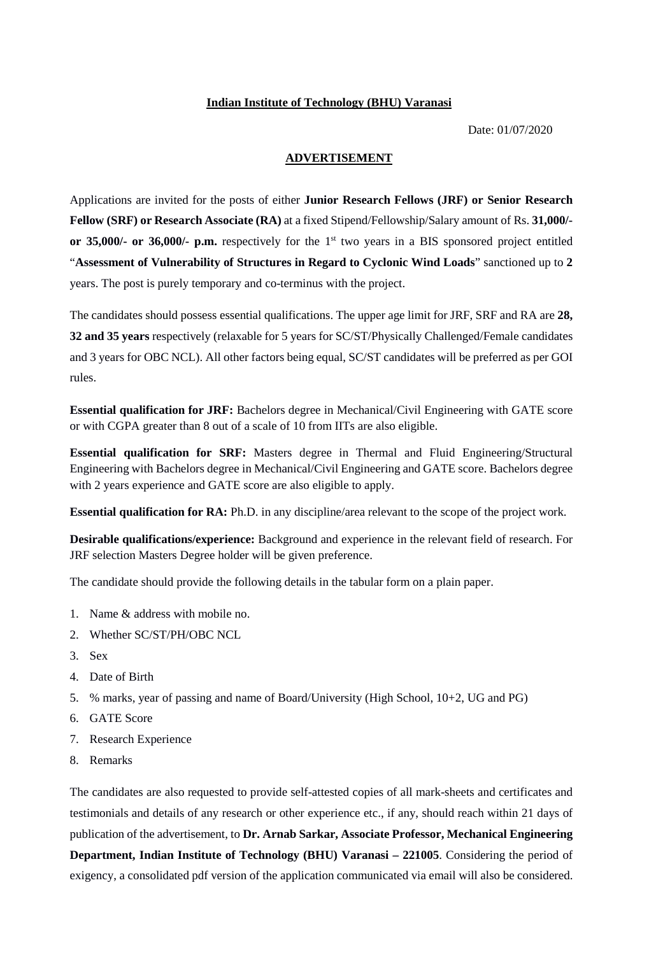## **Indian Institute of Technology (BHU) Varanasi**

Date: 01/07/2020

## **ADVERTISEMENT**

Applications are invited for the posts of either **Junior Research Fellows (JRF) or Senior Research Fellow (SRF) or Research Associate (RA)** at a fixed Stipend/Fellowship/Salary amount of Rs. **31,000/ or 35,000/- or 36,000/- p.m.** respectively for the 1st two years in a BIS sponsored project entitled "**Assessment of Vulnerability of Structures in Regard to Cyclonic Wind Loads**" sanctioned up to **2** years. The post is purely temporary and co-terminus with the project.

The candidates should possess essential qualifications. The upper age limit for JRF, SRF and RA are **28, 32 and 35 years** respectively (relaxable for 5 years for SC/ST/Physically Challenged/Female candidates and 3 years for OBC NCL). All other factors being equal, SC/ST candidates will be preferred as per GOI rules.

**Essential qualification for JRF:** Bachelors degree in Mechanical/Civil Engineering with GATE score or with CGPA greater than 8 out of a scale of 10 from IITs are also eligible.

**Essential qualification for SRF:** Masters degree in Thermal and Fluid Engineering/Structural Engineering with Bachelors degree in Mechanical/Civil Engineering and GATE score. Bachelors degree with 2 years experience and GATE score are also eligible to apply.

**Essential qualification for RA:** Ph.D. in any discipline/area relevant to the scope of the project work.

**Desirable qualifications/experience:** Background and experience in the relevant field of research. For JRF selection Masters Degree holder will be given preference.

The candidate should provide the following details in the tabular form on a plain paper.

- 1. Name & address with mobile no.
- 2. Whether SC/ST/PH/OBC NCL
- 3. Sex
- 4. Date of Birth
- 5. % marks, year of passing and name of Board/University (High School, 10+2, UG and PG)
- 6. GATE Score
- 7. Research Experience
- 8. Remarks

The candidates are also requested to provide self-attested copies of all mark-sheets and certificates and testimonials and details of any research or other experience etc., if any, should reach within 21 days of publication of the advertisement, to **Dr. Arnab Sarkar, Associate Professor, Mechanical Engineering Department, Indian Institute of Technology (BHU) Varanasi – 221005**. Considering the period of exigency, a consolidated pdf version of the application communicated via email will also be considered.